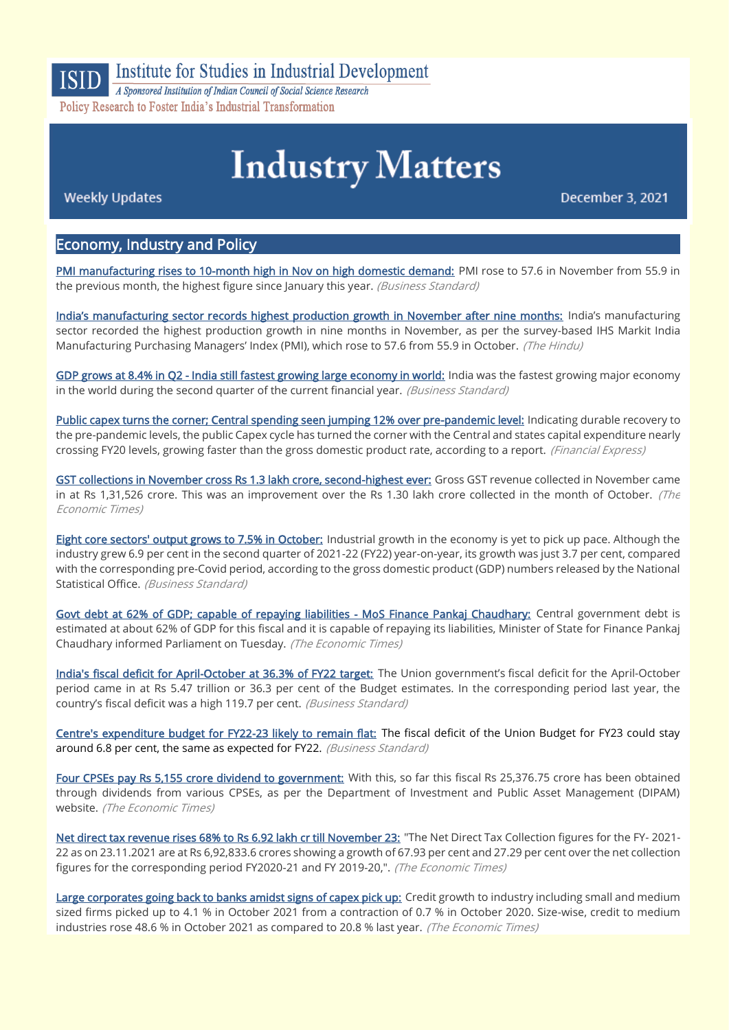

## **Institute for Studies in Industrial Development**

A Sponsored Institution of Indian Council of Social Science Research Policy Research to Foster India's Industrial Transformation

# **Industry Matters**

**Weekly Updates** 

December 3, 2021

## Economy, Industry and Policy

[PMI manufacturing rises to 10-month high in Nov on high domestic demand:](https://www.business-standard.com/article/economy-policy/pmi-manufacturing-rises-to-10-month-high-in-nov-on-high-domestic-demand-121120100499_1.html) PMI rose to 57.6 in November from 55.9 in the previous month, the highest figure since January this year. (Business Standard)

[India's manufacturing sector records highest production growth in November after nine months:](https://www.thehindu.com/business/Industry/indias-manufacturing-sector-records-highest-production-growth-in-november-after-nine-months/article37783597.ece) India's manufacturing sector recorded the highest production growth in nine months in November, as per the survey-based IHS Markit India Manufacturing Purchasing Managers' Index (PMI), which rose to 57.6 from 55.9 in October. (The Hindu)

[GDP grows at 8.4% in Q2 - India still fastest growing large economy in world:](https://www.business-standard.com/article/economy-policy/gdp-grows-at-8-4-in-q2-india-still-fastest-growing-large-economy-in-world-121120100036_1.html) India was the fastest growing major economy in the world during the second quarter of the current financial year. (Business Standard)

[Public capex turns the corner; Central spending seen jumping 12% over pre-pandemic level:](https://www.financialexpress.com/economy/public-capex-turns-the-corner-central-spending-seen-jumping-12-over-pre-pandemic-level-report/2380650/) Indicating durable recovery to the pre-pandemic levels, the public Capex cycle has turned the corner with the Central and states capital expenditure nearly crossing FY20 levels, growing faster than the gross domestic product rate, according to a report. (Financial Express)

[GST collections in November cross Rs 1.3 lakh crore, second-highest ever:](https://economictimes.indiatimes.com/news/economy/finance/gst-collections-in-november-cross-rs-1-3-lakh-crore-second-highest-ever/videoshow/88026120.cms) Gross GST revenue collected in November came in at Rs 1,31,526 crore. This was an improvement over the Rs 1.30 lakh crore collected in the month of October. (The Economic Times)

[Eight core sectors' output grows to 7.5% in October:](https://www.business-standard.com/article/economy-policy/eight-core-sectors-output-grows-to-7-5-in-october-govt-data-121113001674_1.html) Industrial growth in the economy is yet to pick up pace. Although the industry grew 6.9 per cent in the second quarter of 2021-22 (FY22) year-on-year, its growth was just 3.7 per cent, compared with the corresponding pre-Covid period, according to the gross domestic product (GDP) numbers released by the National Statistical Office. (Business Standard)

[Govt debt at 62% of GDP; capable of repaying liabilities - MoS Finance Pankaj Chaudhary:](https://economictimes.indiatimes.com/news/economy/finance/govt-debt-at-62-of-gdp-capable-of-repaying-liabilities-mos-finance-pankaj-chaudhary/articleshow/88009930.cms) Central government debt is estimated at about 62% of GDP for this fiscal and it is capable of repaying its liabilities, Minister of State for Finance Pankaj Chaudhary informed Parliament on Tuesday. (The Economic Times)

[India's fiscal deficit for April-October at 36.3% of FY22 target:](https://www.business-standard.com/article/economy-policy/india-s-fiscal-deficit-for-april-october-at-36-3-of-fy22-target-121120100050_1.html) The Union government's fiscal deficit for the April-October period came in at Rs 5.47 trillion or 36.3 per cent of the Budget estimates. In the corresponding period last year, the country's fiscal deficit was a high 119.7 per cent. (Business Standard)

[Centre's expenditure budget for FY22-23 likely to remain flat:](https://www.business-standard.com/article/economy-policy/centre-s-expenditure-budget-for-fy22-23-likely-to-remain-flat-121112900058_1.html) The fiscal deficit of the Union Budget for FY23 could stay around 6.8 per cent, the same as expected for FY22. (Business Standard)

[Four CPSEs pay Rs 5,155 crore dividend to government:](https://economictimes.indiatimes.com/news/economy/finance/four-cpses-pay-rs-5155-crore-dividend-to-government/articleshow/87980788.cms) With this, so far this fiscal Rs 25,376.75 crore has been obtained through dividends from various CPSEs, as per the Department of Investment and Public Asset Management (DIPAM) website. (The Economic Times)

[Net direct tax revenue rises 68% to Rs 6.92 lakh cr till November 23:](https://economictimes.indiatimes.com/news/economy/finance/net-direct-tax-revenue-rises-68-to-rs-6-92-lakh-cr-till-november-23/articleshow/87979222.cms) "The Net Direct Tax Collection figures for the FY- 2021- 22 as on 23.11.2021 are at Rs 6,92,833.6 crores showing a growth of 67.93 per cent and 27.29 per cent over the net collection figures for the corresponding period FY2020-21 and FY 2019-20,". (The Economic Times)

[Large corporates going back to banks amidst signs of capex pick up:](https://economictimes.indiatimes.com/industry/banking/finance/banking/large-corporates-going-back-to-banks-amidst-signs-of-capex-pick-up/articleshow/88012024.cms) Credit growth to industry including small and medium sized firms picked up to 4.1 % in October 2021 from a contraction of 0.7 % in October 2020. Size-wise, credit to medium industries rose 48.6 % in October 2021 as compared to 20.8 % last year. (The Economic Times)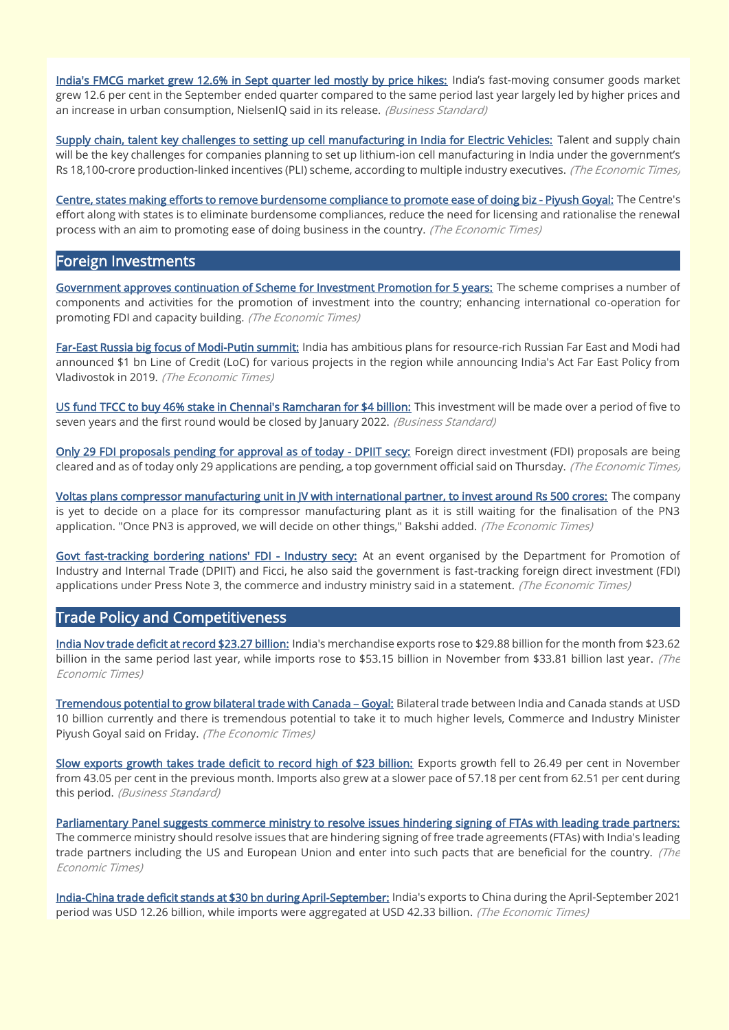[India's FMCG market grew 12.6% in Sept quarter led mostly by price hikes:](https://www.business-standard.com/article/companies/india-s-fmcg-market-grew-12-6-in-sept-quarter-led-mostly-by-price-hikes-121113000968_1.html) India's fast-moving consumer goods market grew 12.6 per cent in the September ended quarter compared to the same period last year largely led by higher prices and an increase in urban consumption, NielsenIQ said in its release. (Business Standard)

[Supply chain, talent key challenges to setting up cell manufacturing in India for Electric Vehicles:](https://economictimes.indiatimes.com/industry/renewables/supply-chain-talent-key-challenges-to-setting-up-cell-manufacturing-in-india-for-electric-vehicles/articleshow/88010789.cms) Talent and supply chain will be the key challenges for companies planning to set up lithium-ion cell manufacturing in India under the government's Rs 18,100-crore production-linked incentives (PLI) scheme, according to multiple industry executives. (The Economic Times,

[Centre, states making efforts to remove burdensome compliance to promote ease of doing biz - Piyush Goyal:](https://economictimes.indiatimes.com/news/economy/policy/centre-states-making-efforts-to-remove-burdensome-compliance-to-promote-ease-of-doing-biz-piyush-goyal/articleshow/87947662.cms) The Centre's effort along with states is to eliminate burdensome compliances, reduce the need for licensing and rationalise the renewal process with an aim to promoting ease of doing business in the country. (The Economic Times)

## Foreign Investments

[Government approves continuation of Scheme for Investment Promotion for 5 years:](https://economictimes.indiatimes.com/news/economy/policy/government-approves-continuation-of-scheme-for-investment-promotion-for-5-years/articleshow/88014962.cms) The scheme comprises a number of components and activities for the promotion of investment into the country; enhancing international co-operation for promoting FDI and capacity building. (The Economic Times)

[Far-East Russia big focus of Modi-Putin summit:](https://economictimes.indiatimes.com/news/economy/foreign-trade/far-east-russia-big-focus-of-modi-putin-summit/articleshow/88042759.cms) India has ambitious plans for resource-rich Russian Far East and Modi had announced \$1 bn Line of Credit (LoC) for various projects in the region while announcing India's Act Far East Policy from Vladivostok in 2019. (The Economic Times)

US fund TFCC to buy 46% stake in Chennai's Ramcharan for \$4 billion: This investment will be made over a period of five to seven years and the first round would be closed by January 2022. (Business Standard)

[Only 29 FDI proposals pending for approval as of today - DPIIT secy:](https://economictimes.indiatimes.com/small-biz/trade/exports/insights/only-29-fdi-proposals-pending-for-approval-as-of-today-dpiit-secy/articleshow/87923970.cms) Foreign direct investment (FDI) proposals are being cleared and as of today only 29 applications are pending, a top government official said on Thursday. (The Economic Times)

[Voltas plans compressor manufacturing unit in JV with international partner, to invest around Rs 500 crores:](https://economictimes.indiatimes.com/industry/cons-products/durables/voltas-plans-compressor-manufacturing-unit-in-jv-with-international-partner-to-invest-around-rs-500-crores/articleshow/87960804.cms) The company is yet to decide on a place for its compressor manufacturing plant as it is still waiting for the finalisation of the PN3 application. "Once PN3 is approved, we will decide on other things," Bakshi added. (The Economic Times)

[Govt fast-tracking bordering nations' FDI - Industry secy:](https://economictimes.indiatimes.com/news/economy/foreign-trade/govt-fast-tracking-bordering-nations-fdi-industry-secy/articleshow/87938021.cms) At an event organised by the Department for Promotion of Industry and Internal Trade (DPIIT) and Ficci, he also said the government is fast-tracking foreign direct investment (FDI) applications under Press Note 3, the commerce and industry ministry said in a statement. (The Economic Times)

## Trade Policy and Competitiveness

[India Nov trade deficit at record \\$23.27 billion:](https://economictimes.indiatimes.com/news/economy/indicators/india-nov-trade-deficit-at-record-23-27-billion/articleshow/88034750.cms) India's merchandise exports rose to \$29.88 billion for the month from \$23.62 billion in the same period last year, while imports rose to \$53.15 billion in November from \$33.81 billion last year. (The Economic Times)

[Tremendous potential to grow bilateral trade with Canada](https://economictimes.indiatimes.com/news/economy/foreign-trade/tremendous-potential-to-grow-bilateral-trade-with-canada-goyal/articleshow/87937372.cms) – Goyal: Bilateral trade between India and Canada stands at USD 10 billion currently and there is tremendous potential to take it to much higher levels, Commerce and Industry Minister Piyush Goyal said on Friday. (The Economic Times)

[Slow exports growth takes trade deficit to record high of \\$23 billion:](https://www.business-standard.com/article/economy-policy/slow-exports-growth-takes-trade-deficit-to-record-high-of-23-billion-121120200040_1.html) Exports growth fell to 26.49 per cent in November from 43.05 per cent in the previous month. Imports also grew at a slower pace of 57.18 per cent from 62.51 per cent during this period. (Business Standard)

[Parliamentary Panel suggests commerce ministry to resolve issues hindering signing of FTAs with leading trade partners:](https://economictimes.indiatimes.com/news/economy/foreign-trade/parliamentary-panel-suggests-commerce-ministry-to-resolve-issues-hindering-signing-of-ftas-with-leading-trade-partners/articleshow/88009926.cms) The commerce ministry should resolve issues that are hindering signing of free trade agreements (FTAs) with India's leading trade partners including the US and European Union and enter into such pacts that are beneficial for the country. (The Economic Times)

[India-China trade deficit stands at \\$30 bn during April-September:](https://economictimes.indiatimes.com/news/economy/foreign-trade/india-china-trade-deficit-stands-at-30-bn-during-april-september/articleshow/88032931.cms) India's exports to China during the April-September 2021 period was USD 12.26 billion, while imports were aggregated at USD 42.33 billion. (The Economic Times)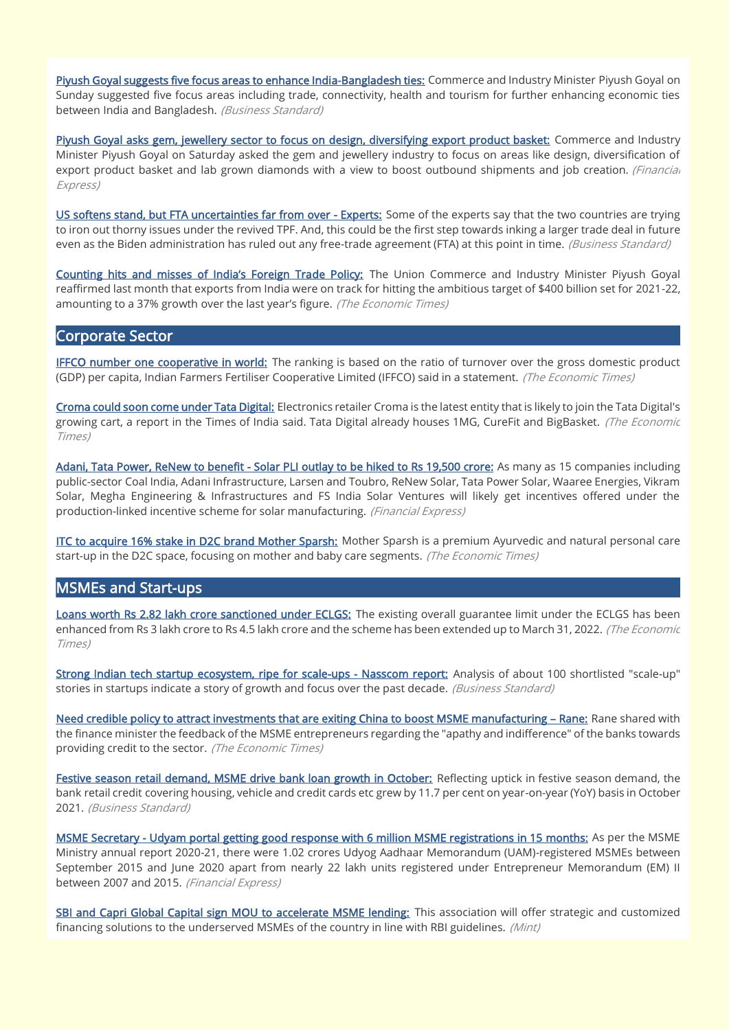[Piyush Goyal suggests five focus areas to enhance India-Bangladesh ties:](https://www.business-standard.com/article/current-affairs/piyush-goyal-suggests-five-focus-areas-to-enhance-india-bangladesh-ties-121112800426_1.html) Commerce and Industry Minister Piyush Goyal on Sunday suggested five focus areas including trade, connectivity, health and tourism for further enhancing economic ties between India and Bangladesh. (Business Standard)

[Piyush Goyal asks gem, jewellery sector to focus on design, diversifying export product basket:](https://www.financialexpress.com/economy/piyush-goyal-asks-gem-jewellery-sector-to-focus-on-design-diversifying-export-product-basket/2377218/) Commerce and Industry Minister Piyush Goyal on Saturday asked the gem and jewellery industry to focus on areas like design, diversification of export product basket and lab grown diamonds with a view to boost outbound shipments and job creation. (Financial Express)

[US softens stand, but FTA uncertainties far from over - Experts:](https://www.business-standard.com/article/economy-policy/us-softens-stand-but-fta-uncertainties-far-from-over-experts-121112900056_1.html) Some of the experts say that the two countries are trying to iron out thorny issues under the revived TPF. And, this could be the first step towards inking a larger trade deal in future even as the Biden administration has ruled out any free-trade agreement (FTA) at this point in time. (Business Standard)

[Counting hits and misses of India's Foreign Tra](https://economictimes.indiatimes.com/small-biz/trade/exports/insights/counting-hits-and-misses-of-indias-foreign-trade-policy/articleshow/87944332.cms)de Policy: The Union Commerce and Industry Minister Piyush Goyal reaffirmed last month that exports from India were on track for hitting the ambitious target of \$400 billion set for 2021-22, amounting to a 37% growth over the last year's figure. (The Economic Times)

## Corporate Sector

**[IFFCO number one cooperative in world:](https://economictimes.indiatimes.com/industry/indl-goods/svs/chem-/-fertilisers/iffco-number-one-cooperative-in-world/articleshow/88050110.cms)** The ranking is based on the ratio of turnover over the gross domestic product (GDP) per capita, Indian Farmers Fertiliser Cooperative Limited (IFFCO) said in a statement. (The Economic Times)

[Croma could soon come under Tata Digital:](https://economictimes.indiatimes.com/industry/cons-products/electronics/croma-could-soon-come-under-tata-digital/articleshow/88044292.cms) Electronics retailer Croma is the latest entity that is likely to join the Tata Digital's growing cart, a report in the Times of India said. Tata Digital already houses 1MG, CureFit and BigBasket. (The Economic Times)

[Adani, Tata Power, ReNew to benefit - Solar PLI outlay to be hiked to Rs 19,500 crore:](https://www.financialexpress.com/industry/adani-tata-power-renew-to-benefit-solar-pli-outlay-to-be-hiked-to-rs-19500-crore/2377943/) As many as 15 companies including public-sector Coal India, Adani Infrastructure, Larsen and Toubro, ReNew Solar, Tata Power Solar, Waaree Energies, Vikram Solar, Megha Engineering & Infrastructures and FS India Solar Ventures will likely get incentives offered under the production-linked incentive scheme for solar manufacturing. (Financial Express)

[ITC to acquire 16% stake in D2C brand Mother Sparsh:](https://economictimes.indiatimes.com/industry/cons-products/fmcg/itc-to-acquire-16-stake-in-d2c-brand-mother-sparsh/articleshow/87929924.cms) Mother Sparsh is a premium Ayurvedic and natural personal care start-up in the D2C space, focusing on mother and baby care segments. (The Economic Times)

## MSMEs and Start-ups

[Loans worth Rs 2.82 lakh crore sanctioned under ECLGS:](https://economictimes.indiatimes.com/small-biz/sme-sector/loans-worth-rs-2-82-lakh-crore-sanctioned-under-eclgs/articleshow/88049073.cms) The existing overall guarantee limit under the ECLGS has been enhanced from Rs 3 lakh crore to Rs 4.5 lakh crore and the scheme has been extended up to March 31, 2022. (The Economic Times)

[Strong Indian tech startup ecosystem, ripe for scale-ups - Nasscom report:](https://www.business-standard.com/article/economy-policy/strong-indian-tech-startup-ecosystem-ripe-for-scale-ups-nasscom-report-121120101378_1.html) Analysis of about 100 shortlisted "scale-up" stories in startups indicate a story of growth and focus over the past decade. (Business Standard)

[Need credible policy to attract investments that are exiting China to boost MSME manufacturing](https://economictimes.indiatimes.com/small-biz/sme-sector/need-credible-policy-to-attract-investments-that-are-exiting-china-to-boost-msme-manufacturing-rane/articleshow/88021959.cms) - Rane: Rane shared with the finance minister the feedback of the MSME entrepreneurs regarding the "apathy and indifference" of the banks towards providing credit to the sector. (The Economic Times)

[Festive season retail demand, MSME drive bank loan growth in October:](https://www.business-standard.com/article/finance/festive-season-retail-demand-msme-drive-bank-loan-growth-in-october-121113001552_1.html) Reflecting uptick in festive season demand, the bank retail credit covering housing, vehicle and credit cards etc grew by 11.7 per cent on year-on-year (YoY) basis in October 2021. (Business Standard)

[MSME Secretary - Udyam portal getting good response with 6 million MSME registrations in 15 months:](https://www.financialexpress.com/industry/sme/msme-eodb-msme-secretary-udyam-portal-getting-good-response-with-6-million-msme-registrations-in-15-months/2376251/) As per the MSME Ministry annual report 2020-21, there were 1.02 crores Udyog Aadhaar Memorandum (UAM)-registered MSMEs between September 2015 and June 2020 apart from nearly 22 lakh units registered under Entrepreneur Memorandum (EM) II between 2007 and 2015. (Financial Express)

[SBI and Capri Global Capital sign MOU to accelerate MSME lending:](https://www.livemint.com/industry/banking/sbi-and-capri-global-capital-sign-mou-to-accelerate-msme-lending-11638171306570.html) This association will offer strategic and customized financing solutions to the underserved MSMEs of the country in line with RBI guidelines. (Mint)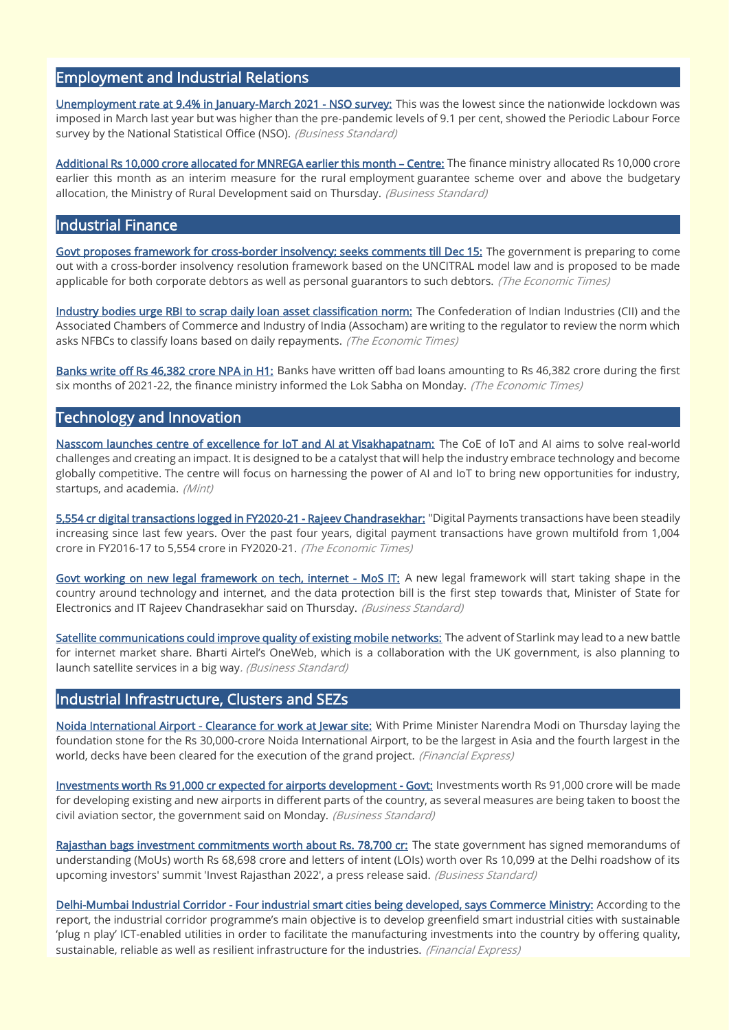## Employment and Industrial Relations

[Unemployment rate at 9.4% in January-March 2021 - NSO survey:](https://www.business-standard.com/article/economy-policy/unemployment-rate-at-9-3-in-january-march-2021-nso-survey-121120100045_1.html) This was the lowest since the nationwide lockdown was imposed in March last year but was higher than the pre-pandemic levels of 9.1 per cent, showed the Periodic Labour Force survey by the National Statistical Office (NSO). (Business Standard)

[Additional Rs 10,000 crore allocated for MNREGA earlier this month](https://www.business-standard.com/article/economy-policy/additional-rs-10-000-crore-allocated-for-mnrega-earlier-this-month-centre-121112600068_1.html) - Centre: The finance ministry allocated Rs 10,000 crore earlier this month as an interim measure for the rural employment guarantee scheme over and above the budgetary allocation, the Ministry of Rural Development said on Thursday. (Business Standard)

## Industrial Finance

[Govt proposes framework for cross-border insolvency; seeks comments till Dec 15:](https://economictimes.indiatimes.com/news/economy/policy/govt-proposes-framework-for-cross-border-insolvency-seeks-comments-till-dec-15/articleshow/87930702.cms) The government is preparing to come out with a cross-border insolvency resolution framework based on the UNCITRAL model law and is proposed to be made applicable for both corporate debtors as well as personal guarantors to such debtors. (The Economic Times)

[Industry bodies urge RBI to scrap daily loan asset classification norm:](https://economictimes.indiatimes.com/industry/banking/finance/banking/industry-bodies-urge-rbi-to-scrap-daily-loan-asset-classification-norm/articleshow/87994461.cms) The Confederation of Indian Industries (CII) and the Associated Chambers of Commerce and Industry of India (Assocham) are writing to the regulator to review the norm which asks NFBCs to classify loans based on daily repayments. (The Economic Times)

[Banks write off Rs 46,382 crore NPA in H1:](https://economictimes.indiatimes.com/industry/banking/finance/banking/banks-write-off-rs-46382-crore-npa-in-h1/articleshow/87987512.cms) Banks have written off bad loans amounting to Rs 46,382 crore during the first six months of 2021-22, the finance ministry informed the Lok Sabha on Monday. (The Economic Times)

## Technology and Innovation

[Nasscom launches centre of excellence for IoT and AI at Visakhapatnam:](https://www.livemint.com/technology/tech-news/nasscom-launches-centre-of-excellence-for-iot-and-ai-at-visakhapatnam-11638263844257.html) The CoE of IoT and AI aims to solve real-world challenges and creating an impact. It is designed to be a catalyst that will help the industry embrace technology and become globally competitive. The centre will focus on harnessing the power of AI and IoT to bring new opportunities for industry, startups, and academia. (Mint)

[5,554 cr digital transactions logged in FY2020-21 - Rajeev Chandrasekhar:](https://economictimes.indiatimes.com/news/economy/finance/5554-cr-digital-transactions-logged-in-fy2020-21-chandrasekhar/articleshow/88029640.cms) "Digital Payments transactions have been steadily increasing since last few years. Over the past four years, digital payment transactions have grown multifold from 1,004 crore in FY2016-17 to 5,554 crore in FY2020-21. (The Economic Times)

[Govt working on new legal framework on tech, internet - MoS IT:](https://www.business-standard.com/article/economy-policy/govt-working-on-new-legal-framework-on-tech-internet-mos-it-121112600064_1.html) A new legal framework will start taking shape in the country around technology and internet, and the data protection bill is the first step towards that, Minister of State for Electronics and IT Rajeev Chandrasekhar said on Thursday. (Business Standard)

[Satellite communications could improve quality of existing mobile networks:](https://www.business-standard.com/article/technology/satellite-communications-could-improve-quality-of-existing-mobile-networks-121112800983_1.html) The advent of Starlink may lead to a new battle for internet market share. Bharti Airtel's OneWeb, which is a collaboration with the UK government, is also planning to launch satellite services in a big way. (Business Standard)

## Industrial Infrastructure, Clusters and SEZs

[Noida International Airport - Clearance for work at Jewar site:](https://www.financialexpress.com/infrastructure/noida-international-airport-clearance-for-work-at-jewar-site/2377906/) With Prime Minister Narendra Modi on Thursday laying the foundation stone for the Rs 30,000-crore Noida International Airport, to be the largest in Asia and the fourth largest in the world, decks have been cleared for the execution of the grand project. (Financial Express)

[Investments worth Rs 91,000 cr expected for airports development - Govt:](https://www.business-standard.com/article/economy-policy/investments-worth-rs-91-000-cr-expected-for-airports-development-govt-121112901213_1.html) Investments worth Rs 91,000 crore will be made for developing existing and new airports in different parts of the country, as several measures are being taken to boost the civil aviation sector, the government said on Monday. (Business Standard)

[Rajasthan bags investment commitments worth about Rs. 78,700 cr:](https://www.business-standard.com/article/economy-policy/rajasthan-bags-investment-commitments-worth-about-rs-78-700-cr-121120101283_1.html) The state government has signed memorandums of understanding (MoUs) worth Rs 68,698 crore and letters of intent (LOIs) worth over Rs 10,099 at the Delhi roadshow of its upcoming investors' summit 'Invest Rajasthan 2022', a press release said. (Business Standard)

[Delhi-Mumbai Industrial Corridor - Four industrial smart cities being developed, says Commerce Ministry:](https://www.financialexpress.com/infrastructure/four-industrial-smart-cities-being-developed-under-delhi-mumbai-industrial-corridor-commerce-ministry/2376752/) According to the report, the industrial corridor programme's main objective is to develop greenfield smart industrial cities with sustainable 'plug n play' ICT-enabled utilities in order to facilitate the manufacturing investments into the country by offering quality, sustainable, reliable as well as resilient infrastructure for the industries. (Financial Express)